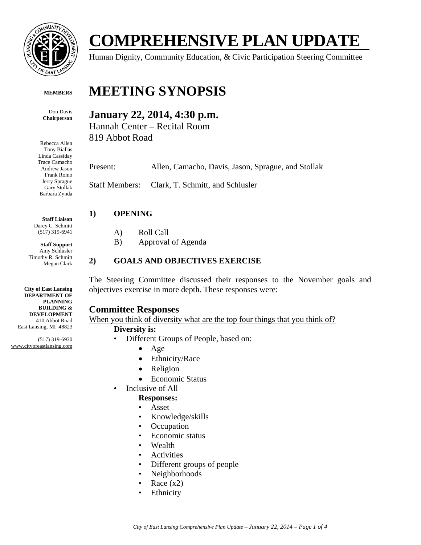

**COMPREHENSIVE PLAN UPDATE** 

Human Dignity, Community Education, & Civic Participation Steering Committee

#### **MEMBERS**

Don Davis **Chairperson** 

Rebecca Allen Tony Biallas Linda Cassiday Trace Camacho Andrew Jason Frank Romo Jerry Sprague Gary Stollak Barbara Zynda

**Staff Liaison**  Darcy C. Schmitt (517) 319-6941

**Staff Support**  Amy Schlusler Timothy R. Schmitt Megan Clark

**City of East Lansing DEPARTMENT OF PLANNING BUILDING & DEVELOPMENT**  410 Abbot Road East Lansing, MI 48823

(517) 319-6930 www.cityofeastlansing.com

# **MEETING SYNOPSIS**

## **January 22, 2014, 4:30 p.m.**

Hannah Center – Recital Room 819 Abbot Road

Present: Allen, Camacho, Davis, Jason, Sprague, and Stollak

Staff Members: Clark, T. Schmitt, and Schlusler

#### **1) OPENING**

- A) Roll Call
- B) Approval of Agenda

#### **2) GOALS AND OBJECTIVES EXERCISE**

The Steering Committee discussed their responses to the November goals and objectives exercise in more depth. These responses were:

#### **Committee Responses**

When you think of diversity what are the top four things that you think of?

#### **Diversity is:**

- Different Groups of People, based on:
	- $\bullet$  Age
	- Ethnicity/Race
	- Religion
	- Economic Status
- Inclusive of All

#### **Responses:**

- Asset
- Knowledge/skills
- Occupation
- Economic status
- Wealth
- Activities
- Different groups of people
- Neighborhoods
- Race  $(x2)$
- Ethnicity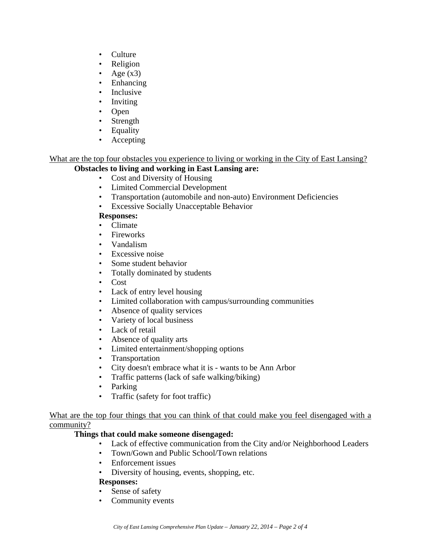- Culture
- Religion
- Age  $(x3)$
- Enhancing
- Inclusive
- Inviting
- Open
- Strength
- Equality
- **Accepting**

## What are the top four obstacles you experience to living or working in the City of East Lansing?

## **Obstacles to living and working in East Lansing are:**

- Cost and Diversity of Housing
- Limited Commercial Development
- Transportation (automobile and non-auto) Environment Deficiencies
- Excessive Socially Unacceptable Behavior

#### **Responses:**

- Climate
- Fireworks
- Vandalism
- Excessive noise
- Some student behavior
- Totally dominated by students
- Cost
- Lack of entry level housing
- Limited collaboration with campus/surrounding communities
- Absence of quality services
- Variety of local business
- Lack of retail
- Absence of quality arts
- Limited entertainment/shopping options
- Transportation
- City doesn't embrace what it is wants to be Ann Arbor
- Traffic patterns (lack of safe walking/biking)
- Parking
- Traffic (safety for foot traffic)

#### What are the top four things that you can think of that could make you feel disengaged with a community?

## **Things that could make someone disengaged:**

- Lack of effective communication from the City and/or Neighborhood Leaders
- Town/Gown and Public School/Town relations
- Enforcement issues
- Diversity of housing, events, shopping, etc.

#### **Responses:**

- Sense of safety
- Community events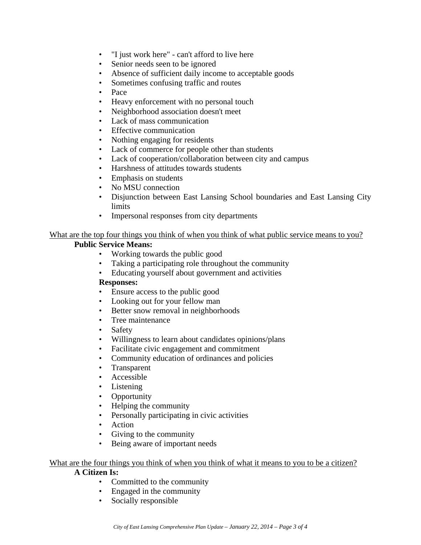- "I just work here" can't afford to live here
- Senior needs seen to be ignored
- Absence of sufficient daily income to acceptable goods
- Sometimes confusing traffic and routes
- Pace
- Heavy enforcement with no personal touch
- Neighborhood association doesn't meet
- Lack of mass communication
- Effective communication
- Nothing engaging for residents
- Lack of commerce for people other than students
- Lack of cooperation/collaboration between city and campus
- Harshness of attitudes towards students
- Emphasis on students
- No MSU connection
- Disjunction between East Lansing School boundaries and East Lansing City limits
- Impersonal responses from city departments

### What are the top four things you think of when you think of what public service means to you?

#### **Public Service Means:**

- Working towards the public good
- Taking a participating role throughout the community
- Educating yourself about government and activities

#### **Responses:**

- Ensure access to the public good
- Looking out for your fellow man
- Better snow removal in neighborhoods
- Tree maintenance
- **Safety**
- Willingness to learn about candidates opinions/plans
- Facilitate civic engagement and commitment
- Community education of ordinances and policies
- Transparent
- Accessible
- Listening
- Opportunity
- Helping the community
- Personally participating in civic activities
- Action
- Giving to the community
- Being aware of important needs

#### What are the four things you think of when you think of what it means to you to be a citizen?

#### **A Citizen Is:**

- Committed to the community
- Engaged in the community
- Socially responsible